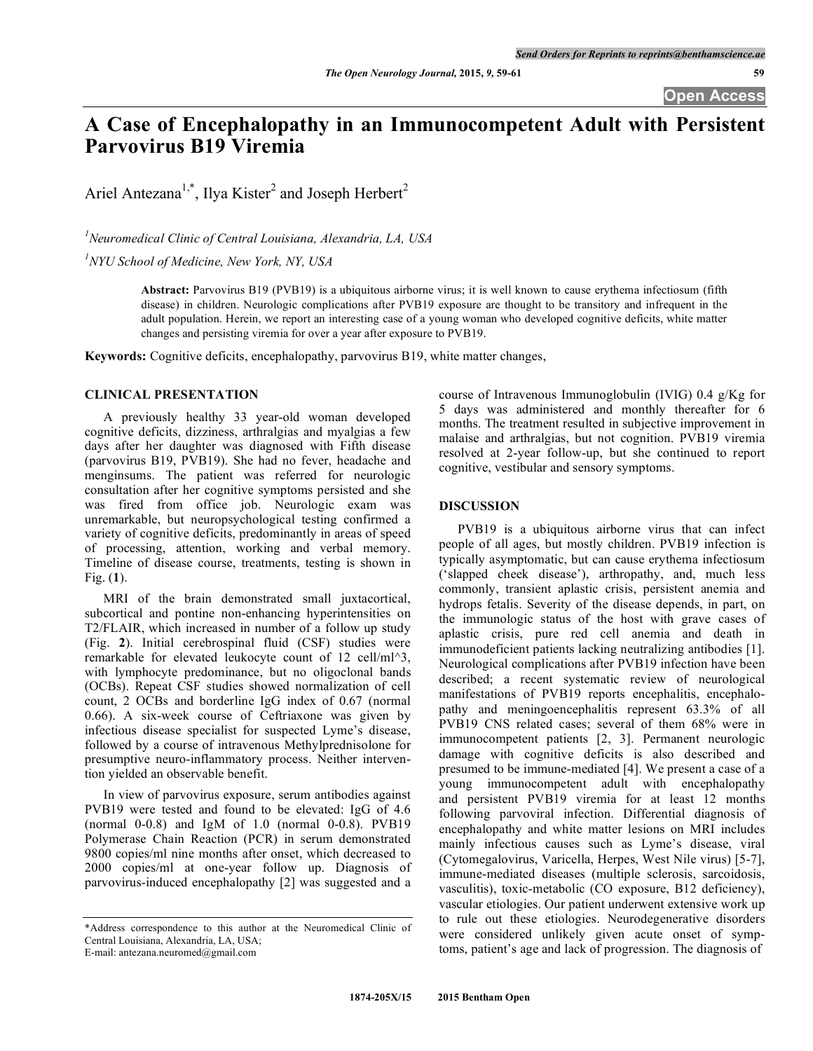# **A Case of Encephalopathy in an Immunocompetent Adult with Persistent Parvovirus B19 Viremia**

Ariel Antezana<sup>1,\*</sup>, Ilya Kister<sup>2</sup> and Joseph Herbert<sup>2</sup>

*1 Neuromedical Clinic of Central Louisiana, Alexandria, LA, USA*

*1 NYU School of Medicine, New York, NY, USA*

**Abstract:** Parvovirus B19 (PVB19) is a ubiquitous airborne virus; it is well known to cause erythema infectiosum (fifth disease) in children. Neurologic complications after PVB19 exposure are thought to be transitory and infrequent in the adult population. Herein, we report an interesting case of a young woman who developed cognitive deficits, white matter changes and persisting viremia for over a year after exposure to PVB19.

**Keywords:** Cognitive deficits, encephalopathy, parvovirus B19, white matter changes,

#### **CLINICAL PRESENTATION**

A previously healthy 33 year-old woman developed cognitive deficits, dizziness, arthralgias and myalgias a few days after her daughter was diagnosed with Fifth disease (parvovirus B19, PVB19). She had no fever, headache and menginsums. The patient was referred for neurologic consultation after her cognitive symptoms persisted and she was fired from office job. Neurologic exam was unremarkable, but neuropsychological testing confirmed a variety of cognitive deficits, predominantly in areas of speed of processing, attention, working and verbal memory. Timeline of disease course, treatments, testing is shown in Fig. (**1**).

MRI of the brain demonstrated small juxtacortical, subcortical and pontine non-enhancing hyperintensities on T2/FLAIR, which increased in number of a follow up study (Fig. **2**). Initial cerebrospinal fluid (CSF) studies were remarkable for elevated leukocyte count of 12 cell/ml^3, with lymphocyte predominance, but no oligoclonal bands (OCBs). Repeat CSF studies showed normalization of cell count, 2 OCBs and borderline IgG index of 0.67 (normal 0.66). A six-week course of Ceftriaxone was given by infectious disease specialist for suspected Lyme's disease, followed by a course of intravenous Methylprednisolone for presumptive neuro-inflammatory process. Neither intervention yielded an observable benefit.

In view of parvovirus exposure, serum antibodies against PVB19 were tested and found to be elevated: IgG of 4.6 (normal 0-0.8) and IgM of 1.0 (normal 0-0.8). PVB19 Polymerase Chain Reaction (PCR) in serum demonstrated 9800 copies/ml nine months after onset, which decreased to 2000 copies/ml at one-year follow up. Diagnosis of parvovirus-induced encephalopathy [2] was suggested and a

course of Intravenous Immunoglobulin (IVIG) 0.4 g/Kg for 5 days was administered and monthly thereafter for 6 months. The treatment resulted in subjective improvement in malaise and arthralgias, but not cognition. PVB19 viremia resolved at 2-year follow-up, but she continued to report cognitive, vestibular and sensory symptoms.

### **DISCUSSION**

PVB19 is a ubiquitous airborne virus that can infect people of all ages, but mostly children. PVB19 infection is typically asymptomatic, but can cause erythema infectiosum ('slapped cheek disease'), arthropathy, and, much less commonly, transient aplastic crisis, persistent anemia and hydrops fetalis. Severity of the disease depends, in part, on the immunologic status of the host with grave cases of aplastic crisis, pure red cell anemia and death in immunodeficient patients lacking neutralizing antibodies [1]. Neurological complications after PVB19 infection have been described; a recent systematic review of neurological manifestations of PVB19 reports encephalitis, encephalopathy and meningoencephalitis represent 63.3% of all PVB19 CNS related cases; several of them 68% were in immunocompetent patients [2, 3]. Permanent neurologic damage with cognitive deficits is also described and presumed to be immune-mediated [4]. We present a case of a young immunocompetent adult with encephalopathy and persistent PVB19 viremia for at least 12 months following parvoviral infection. Differential diagnosis of encephalopathy and white matter lesions on MRI includes mainly infectious causes such as Lyme's disease, viral (Cytomegalovirus, Varicella, Herpes, West Nile virus) [5-7], immune-mediated diseases (multiple sclerosis, sarcoidosis, vasculitis), toxic-metabolic (CO exposure, B12 deficiency), vascular etiologies. Our patient underwent extensive work up to rule out these etiologies. Neurodegenerative disorders were considered unlikely given acute onset of symptoms, patient's age and lack of progression. The diagnosis of

<sup>\*</sup>Address correspondence to this author at the Neuromedical Clinic of Central Louisiana, Alexandria, LA, USA;

E-mail: antezana.neuromed@gmail.com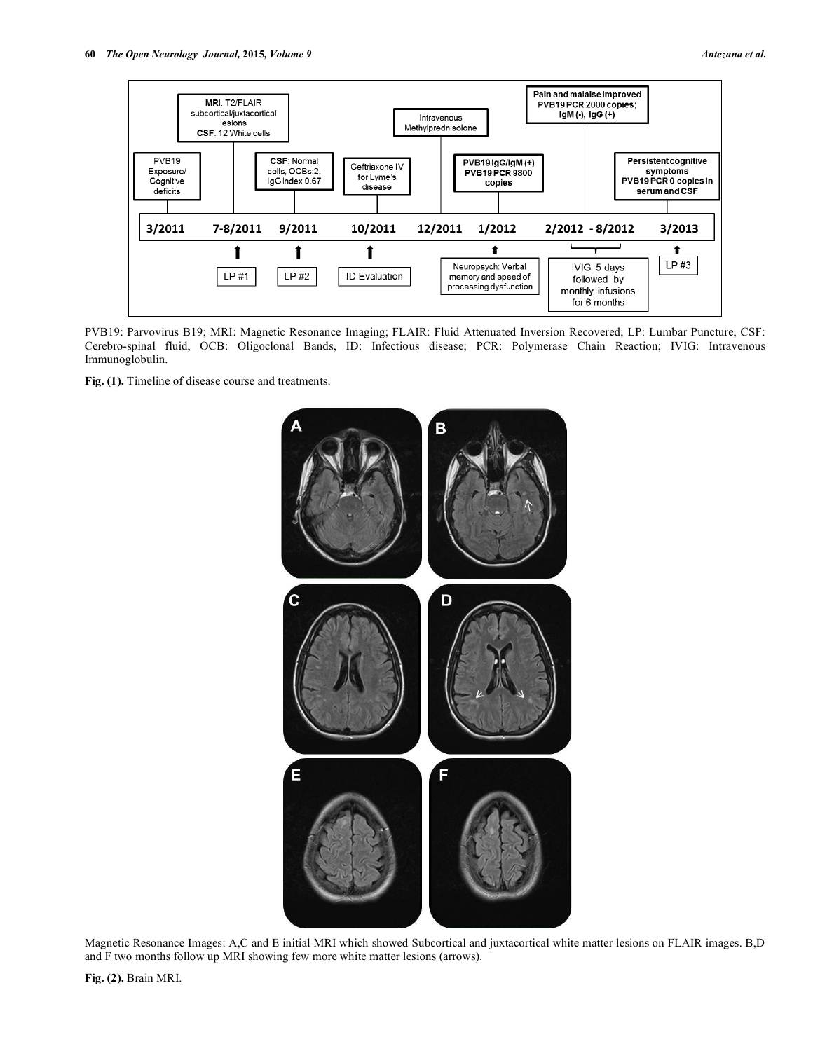

PVB19: Parvovirus B19; MRI: Magnetic Resonance Imaging; FLAIR: Fluid Attenuated Inversion Recovered; LP: Lumbar Puncture, CSF: Cerebro-spinal fluid, OCB: Oligoclonal Bands, ID: Infectious disease; PCR: Polymerase Chain Reaction; IVIG: Intravenous Immunoglobulin.

**Fig. (1).** Timeline of disease course and treatments.



Magnetic Resonance Images: A,C and E initial MRI which showed Subcortical and juxtacortical white matter lesions on FLAIR images. B,D and F two months follow up MRI showing few more white matter lesions (arrows).